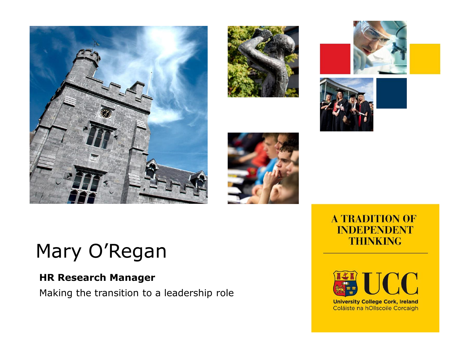









#### **A TRADITION OF INDEPENDENT THINKING**



**University College Cork, Ireland** Coláiste na hOllscoile Corcaigh

#### Mary O'Regan

#### **HR Research Manager**

Making the transition to a leadership role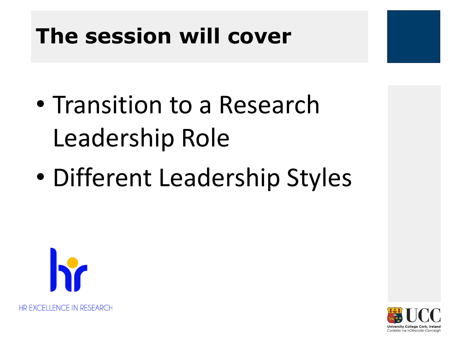## **The session will cover**

- Transition to a Research Leadership Role
- Different Leadership Styles





HR EXCELLENCE IN RESEARCH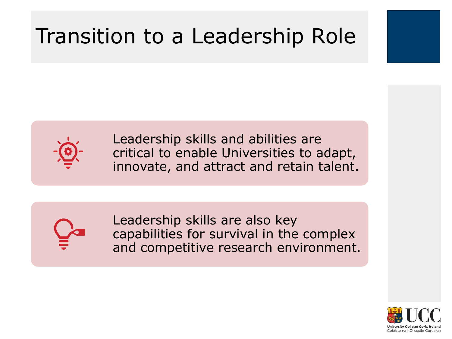### Transition to a Leadership Role



Leadership skills and abilities are critical to enable Universities to adapt, innovate, and attract and retain talent.



Leadership skills are also key capabilities for survival in the complex and competitive research environment.

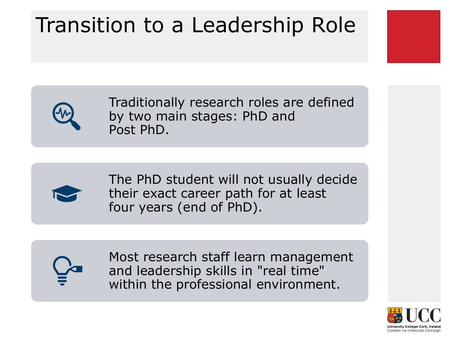## Transition to a Leadership Role



Traditionally research roles are defined by two main stages: PhD and Post PhD.



The PhD student will not usually decide their exact career path for at least four years (end of PhD).



Most research staff learn management and leadership skills in "real time" within the professional environment.

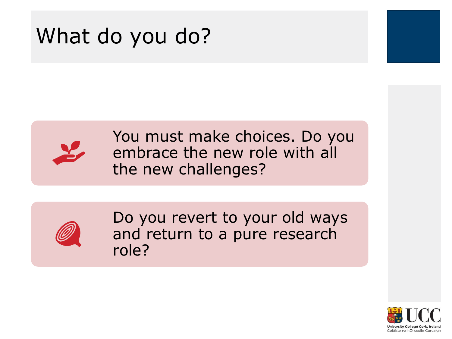



You must make choices. Do you embrace the new role with all the new challenges?



Do you revert to your old ways and return to a pure research role?

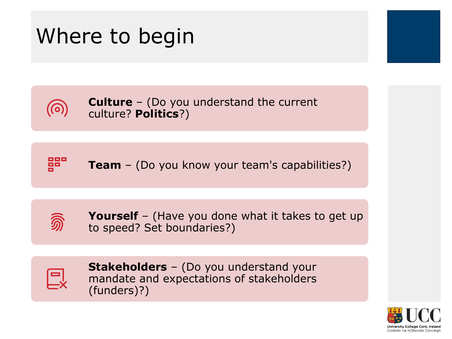#### Where to begin



**Culture** – (Do you understand the current culture? **Politics**?)



**Team** – (Do you know your team's capabilities?)



**Yourself** – (Have you done what it takes to get up to speed? Set boundaries?)



**Stakeholders** – (Do you understand your mandate and expectations of stakeholders (funders)?)

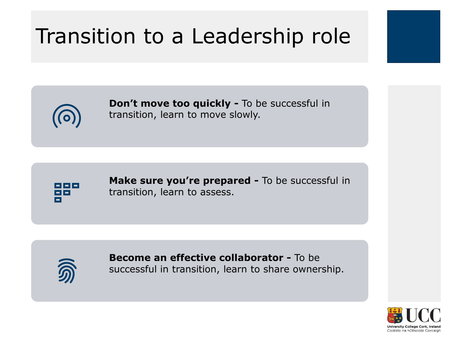### Transition to a Leadership role



**Don't move too quickly -** To be successful in transition, learn to move slowly.



**Make sure you're prepared -** To be successful in transition, learn to assess.



**Become an effective collaborator -** To be

successful in transition, learn to share ownership.

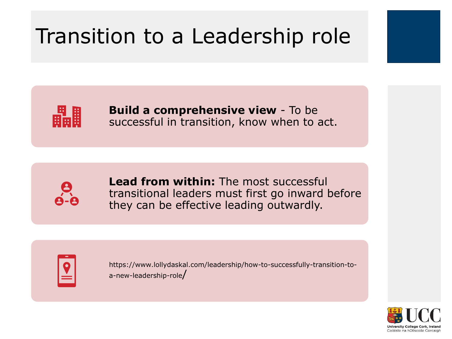### Transition to a Leadership role



**Build a comprehensive view** - To be successful in transition, know when to act.



**Lead from within:** The most successful transitional leaders must first go inward before they can be effective leading outwardly.



https://www.lollydaskal.com/leadership/how-to-successfully-transition-toa-new-leadership-role/

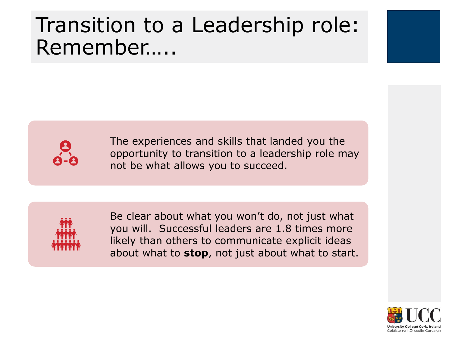#### Transition to a Leadership role: Remember…..



The experiences and skills that landed you the opportunity to transition to a leadership role may not be what allows you to succeed.



Be clear about what you won't do, not just what you will. Successful leaders are 1.8 times more likely than others to communicate explicit ideas about what to **stop**, not just about what to start.

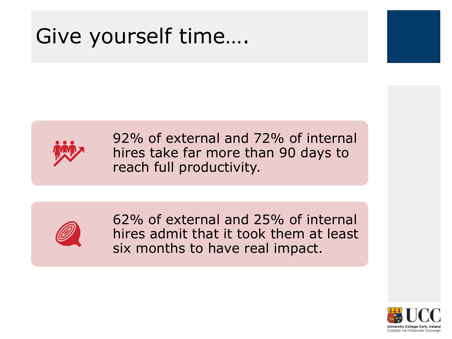#### Give yourself time….



92% of external and 72% of internal hires take far more than 90 days to reach full productivity.



62% of external and 25% of internal hires admit that it took them at least six months to have real impact.

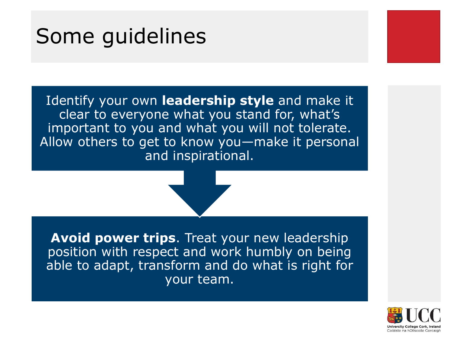#### Some guidelines

Identify your own **leadership style** and make it clear to everyone what you stand for, what's important to you and what you will not tolerate. Allow others to get to know you—make it personal and inspirational.

**Avoid power trips**. Treat your new leadership position with respect and work humbly on being able to adapt, transform and do what is right for your team.

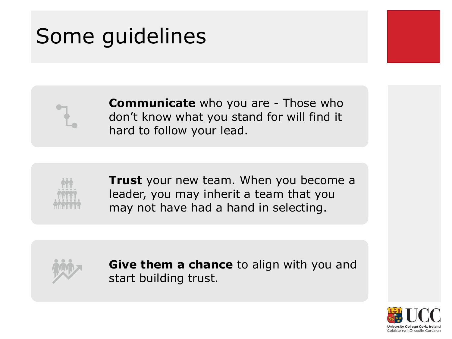#### Some guidelines

**Communicate** who you are - Those who don't know what you stand for will find it hard to follow your lead.



**Trust** your new team. When you become a leader, you may inherit a team that you may not have had a hand in selecting.



**Give them a chance** to align with you and start building trust.

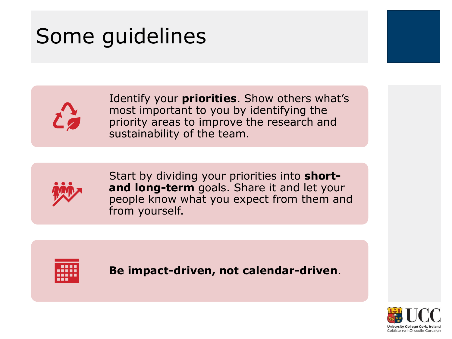#### Some guidelines



Identify your **priorities**. Show others what's most important to you by identifying the priority areas to improve the research and sustainability of the team.



Start by dividing your priorities into **shortand long-term** goals. Share it and let your people know what you expect from them and from yourself.



**Be impact-driven, not calendar-driven**.

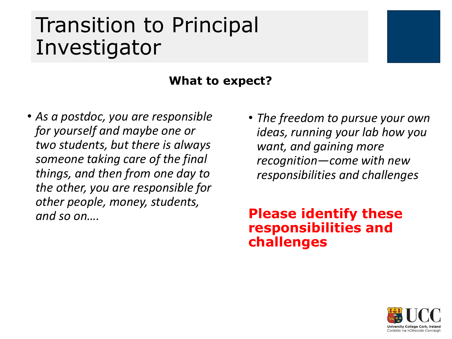### Transition to Principal Investigator

#### **What to expect?**

- *As a postdoc, you are responsible for yourself and maybe one or two students, but there is always someone taking care of the final things, and then from one day to the other, you are responsible for other people, money, students, and so on….*
- *The freedom to pursue your own ideas, running your lab how you want, and gaining more recognition—come with new responsibilities and challenges*

**Please identify these responsibilities and challenges**

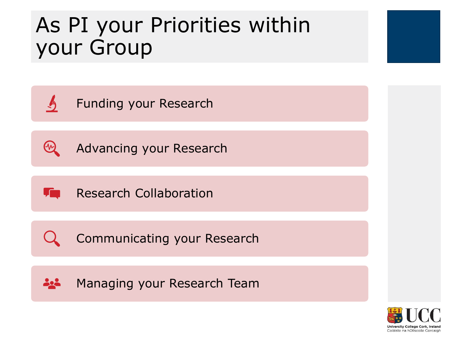### As PI your Priorities within your Group

Funding your Research

Advancing your Research



 $\omega$ 

Communicating your Research



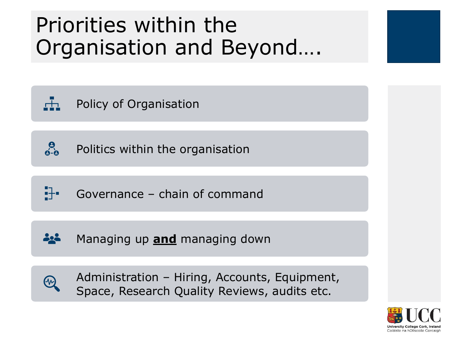### Priorities within the Organisation and Beyond….

Policy of Organisation rth.

 $\frac{9}{6.8}$ Politics within the organisation

ģ. Governance – chain of command





Administration – Hiring, Accounts, Equipment, Space, Research Quality Reviews, audits etc.

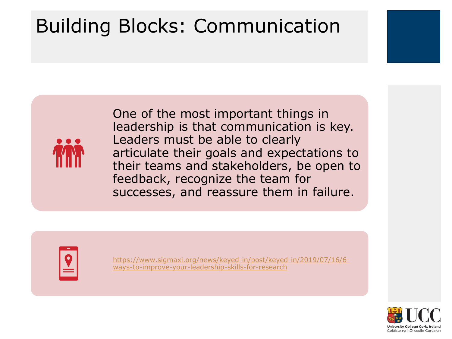#### Building Blocks: Communication



One of the most important things in leadership is that communication is key. Leaders must be able to clearly articulate their goals and expectations to their teams and stakeholders, be open to feedback, recognize the team for successes, and reassure them in failure.



[https://www.sigmaxi.org/news/keyed-in/post/keyed-in/2019/07/16/6](https://www.sigmaxi.org/news/keyed-in/post/keyed-in/2019/07/16/6-ways-to-improve-your-leadership-skills-for-research) ways-to-improve-your-leadership-skills-for-research

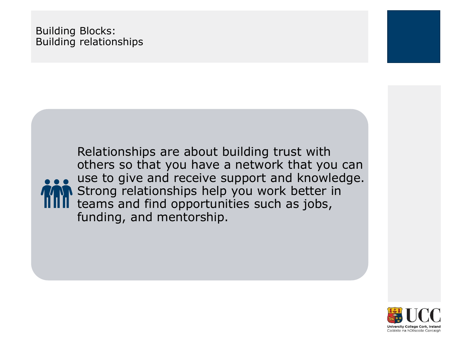#### Building Blocks: Building relationships



Relationships are about building trust with others so that you have a network that you can use to give and receive support and knowledge. Strong relationships help you work better in  $\prod$  teams and find opportunities such as jobs, funding, and mentorship.

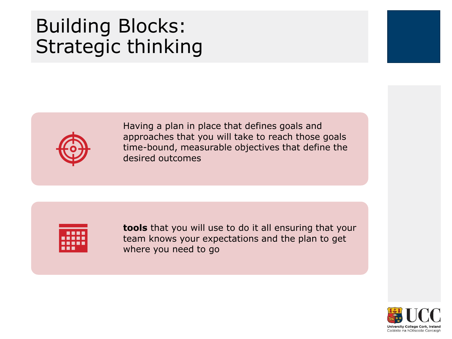#### Building Blocks: Strategic thinking





Having a plan in place that defines goals and approaches that you will take to reach those goals time-bound, measurable objectives that define the desired outcomes



**tools** that you will use to do it all ensuring that your team knows your expectations and the plan to get where you need to go

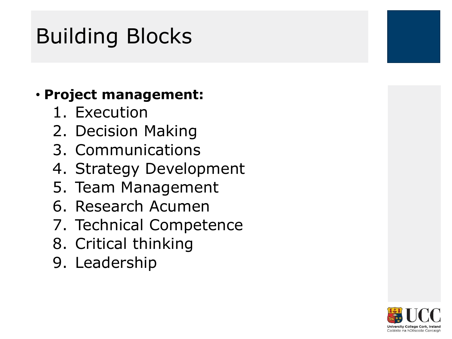## Building Blocks

#### • **Project management:**

- 1. Execution
- 2. Decision Making
- 3. Communications
- 4. Strategy Development
- 5. Team Management
- 6. Research Acumen
- 7. Technical Competence
- 8. Critical thinking
- 9. Leadership

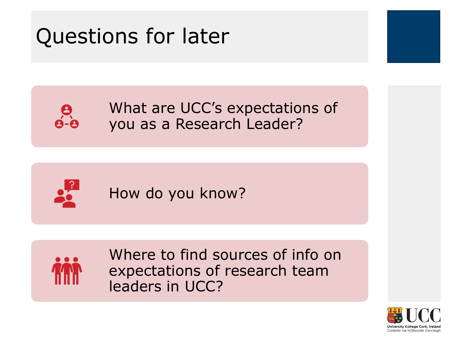### Questions for later





Where to find sources of info on expectations of research team leaders in UCC?

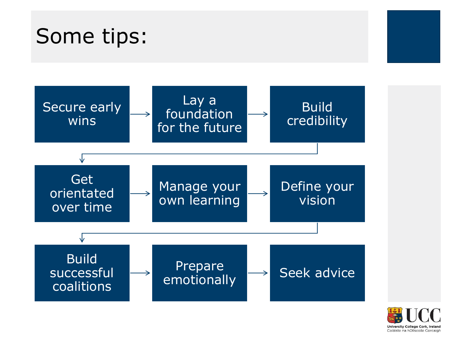

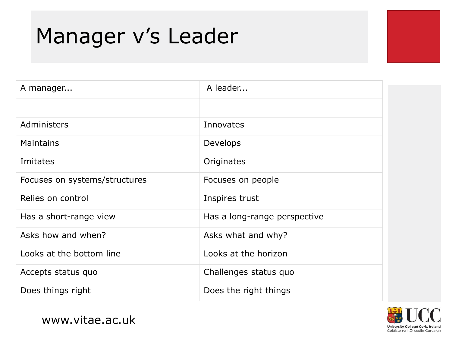### Manager v's Leader

| A manager                     | A leader                     |
|-------------------------------|------------------------------|
|                               |                              |
| Administers                   | Innovates                    |
| <b>Maintains</b>              | Develops                     |
| Imitates                      | Originates                   |
| Focuses on systems/structures | Focuses on people            |
| Relies on control             | Inspires trust               |
| Has a short-range view        | Has a long-range perspective |
| Asks how and when?            | Asks what and why?           |
| Looks at the bottom line      | Looks at the horizon         |
| Accepts status quo            | Challenges status quo        |
| Does things right             | Does the right things        |



www.vitae.ac.uk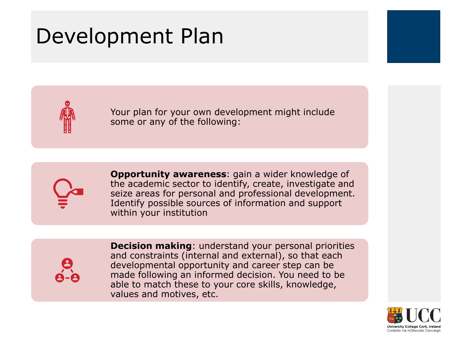#### Development Plan



Your plan for your own development might include some or any of the following:



**Opportunity awareness**: gain a wider knowledge of the academic sector to identify, create, investigate and seize areas for personal and professional development. Identify possible sources of information and support within your institution



**Decision making:** understand your personal priorities and constraints (internal and external), so that each developmental opportunity and career step can be made following an informed decision. You need to be able to match these to your core skills, knowledge, values and motives, etc.

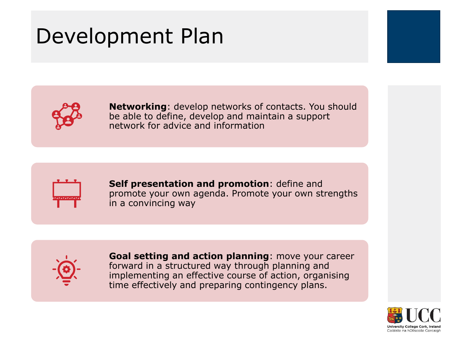### Development Plan



**Networking**: develop networks of contacts. You should be able to define, develop and maintain a support network for advice and information



**Self presentation and promotion**: define and promote your own agenda. Promote your own strengths in a convincing way



**Goal setting and action planning**: move your career forward in a structured way through planning and implementing an effective course of action, organising time effectively and preparing contingency plans.

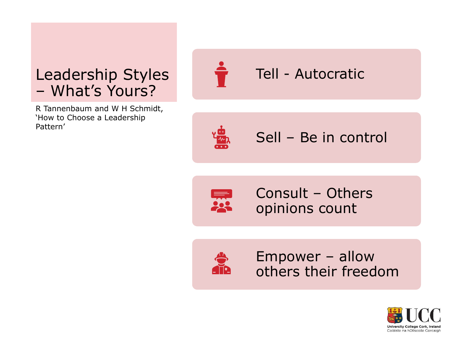#### Leadership Styles – What's Yours?

R Tannenbaum and W H Schmidt, 'How to Choose a Leadership Pattern'





Sell – Be in control



Consult – Others opinions count



Empower – allow others their freedom

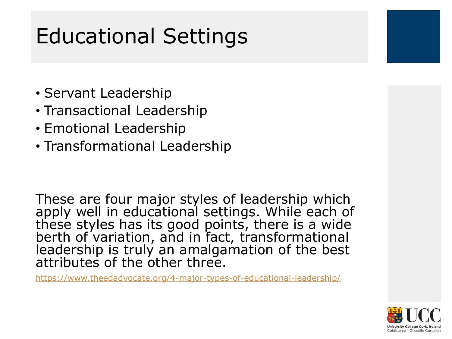- Servant Leadership
- Transactional Leadership
- Emotional Leadership
- Transformational Leadership

These are four major styles of leadership which apply well in educational settings. While each of these styles has its good points, there is a wide berth of variation, and in fact, transformational leadership is truly an amalgamation of the best attributes of the other three.

<https://www.theedadvocate.org/4-major-types-of-educational-leadership/>

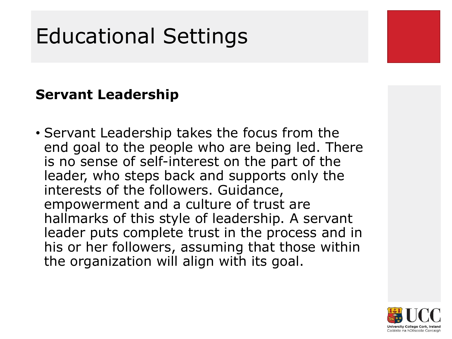#### **Servant Leadership**

• Servant Leadership takes the focus from the end goal to the people who are being led. There is no sense of self-interest on the part of the leader, who steps back and supports only the interests of the followers. Guidance, empowerment and a culture of trust are hallmarks of this style of leadership. A servant leader puts complete trust in the process and in his or her followers, assuming that those within the organization will align with its goal.

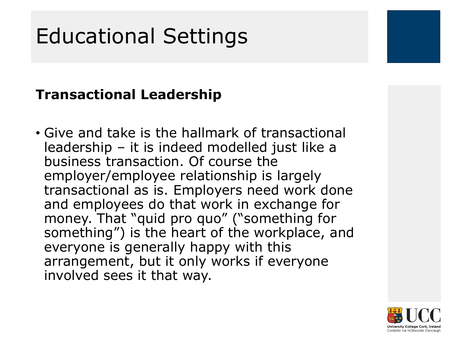#### **Transactional Leadership**

• Give and take is the hallmark of transactional leadership – it is indeed modelled just like a business transaction. Of course the employer/employee relationship is largely transactional as is. Employers need work done and employees do that work in exchange for money. That "quid pro quo" ("something for something") is the heart of the workplace, and everyone is generally happy with this arrangement, but it only works if everyone involved sees it that way.

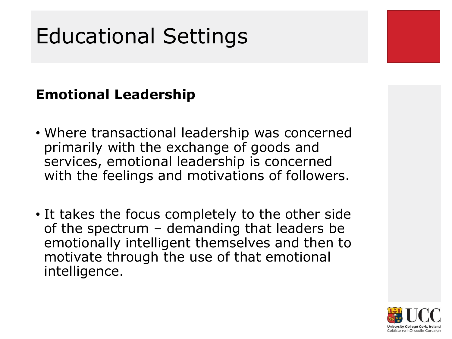#### **Emotional Leadership**

- Where transactional leadership was concerned primarily with the exchange of goods and services, emotional leadership is concerned with the feelings and motivations of followers.
- It takes the focus completely to the other side of the spectrum – demanding that leaders be emotionally intelligent themselves and then to motivate through the use of that emotional intelligence.

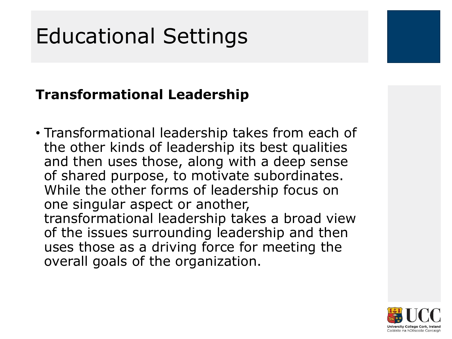#### **Transformational Leadership**

• Transformational leadership takes from each of the other kinds of leadership its best qualities and then uses those, along with a deep sense of shared purpose, to motivate subordinates. While the other forms of leadership focus on one singular aspect or another, transformational leadership takes a broad view of the issues surrounding leadership and then uses those as a driving force for meeting the overall goals of the organization.

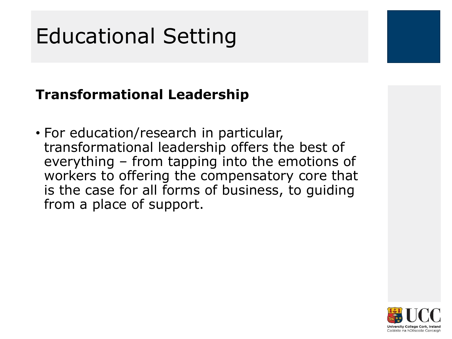#### **Transformational Leadership**

• For education/research in particular, transformational leadership offers the best of everything – from tapping into the emotions of workers to offering the compensatory core that is the case for all forms of business, to guiding from a place of support.

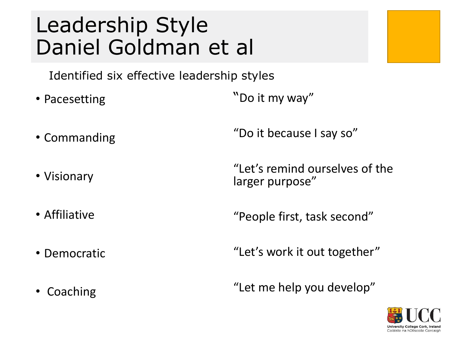### Leadership Style Daniel Goldman et al

Identified six effective leadership styles

• Pacesetting

"Do it my way"

- Commanding
- Visionary
- Affiliative
- Democratic
- **Coaching**

"Let's remind ourselves of the larger purpose"

"People first, task second"

"Do it because I say so"

"Let's work it out together"

"Let me help you develop"



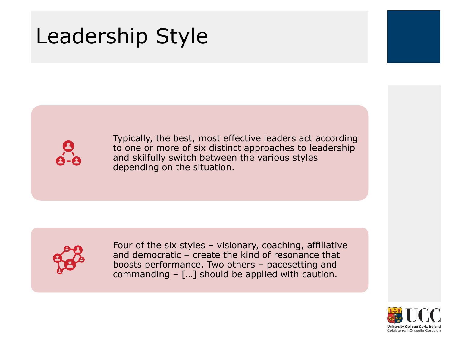#### Leadership Style





Typically, the best, most effective leaders act according to one or more of six distinct approaches to leadership and skilfully switch between the various styles depending on the situation.



Four of the six styles – visionary, coaching, affiliative and democratic – create the kind of resonance that boosts performance. Two others – pacesetting and commanding – […] should be applied with caution.

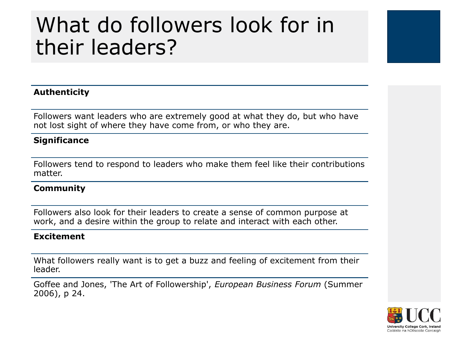#### What do followers look for in their leaders?

#### **Authenticity**

Followers want leaders who are extremely good at what they do, but who have not lost sight of where they have come from, or who they are.

#### **Significance**

Followers tend to respond to leaders who make them feel like their contributions matter.

#### **Community**

Followers also look for their leaders to create a sense of common purpose at work, and a desire within the group to relate and interact with each other.

#### **Excitement**

What followers really want is to get a buzz and feeling of excitement from their leader.

Goffee and Jones, 'The Art of Followership', *European Business Forum* (Summer 2006), p 24.

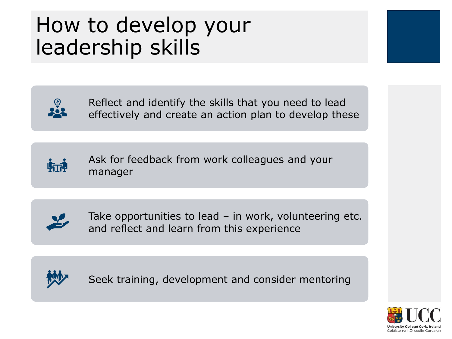### How to develop your leadership skills



Reflect and identify the skills that you need to lead effectively and create an action plan to develop these



Ask for feedback from work colleagues and your manager



Take opportunities to lead – in work, volunteering etc. and reflect and learn from this experience



Seek training, development and consider mentoring